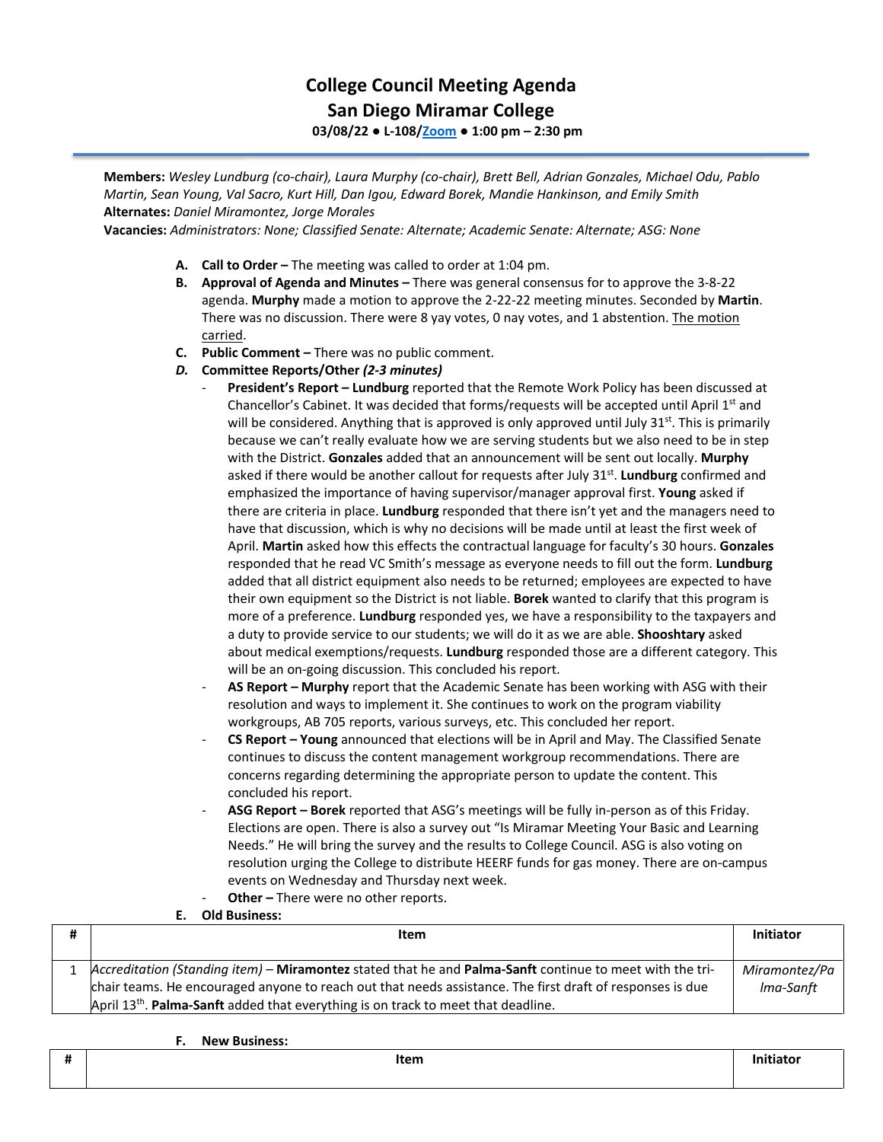## **College Council Meeting Agenda San Diego Miramar College 03/08/22 ● L-108[/Zoom](https://cccconfer.zoom.us/j/92354948089?pwd=clQvQ3pSdi84K2xTSnVLN1UyOXhpQT09) ● 1:00 pm – 2:30 pm**

**Members:** *Wesley Lundburg (co-chair), Laura Murphy (co-chair), Brett Bell, Adrian Gonzales, Michael Odu, Pablo Martin, Sean Young, Val Sacro, Kurt Hill, Dan Igou, Edward Borek, Mandie Hankinson, and Emily Smith*  **Alternates:** *Daniel Miramontez, Jorge Morales* 

**Vacancies:** *Administrators: None; Classified Senate: Alternate; Academic Senate: Alternate; ASG: None*

- **A. Call to Order –** The meeting was called to order at 1:04 pm.
- **B. Approval of Agenda and Minutes –** There was general consensus for to approve the 3-8-22 agenda. **Murphy** made a motion to approve the 2-22-22 meeting minutes. Seconded by **Martin**. There was no discussion. There were 8 yay votes, 0 nay votes, and 1 abstention. The motion carried.
- **C. Public Comment –** There was no public comment.
- *D.* **Committee Reports/Other** *(2-3 minutes)*
	- **President's Report – Lundburg** reported that the Remote Work Policy has been discussed at Chancellor's Cabinet. It was decided that forms/requests will be accepted until April 1<sup>st</sup> and will be considered. Anything that is approved is only approved until July  $31<sup>st</sup>$ . This is primarily because we can't really evaluate how we are serving students but we also need to be in step with the District. **Gonzales** added that an announcement will be sent out locally. **Murphy** asked if there would be another callout for requests after July 31<sup>st</sup>. Lundburg confirmed and emphasized the importance of having supervisor/manager approval first. **Young** asked if there are criteria in place. **Lundburg** responded that there isn't yet and the managers need to have that discussion, which is why no decisions will be made until at least the first week of April. **Martin** asked how this effects the contractual language for faculty's 30 hours. **Gonzales** responded that he read VC Smith's message as everyone needs to fill out the form. **Lundburg**  added that all district equipment also needs to be returned; employees are expected to have their own equipment so the District is not liable. **Borek** wanted to clarify that this program is more of a preference. **Lundburg** responded yes, we have a responsibility to the taxpayers and a duty to provide service to our students; we will do it as we are able. **Shooshtary** asked about medical exemptions/requests. **Lundburg** responded those are a different category. This will be an on-going discussion. This concluded his report.
	- **AS Report – Murphy** report that the Academic Senate has been working with ASG with their resolution and ways to implement it. She continues to work on the program viability workgroups, AB 705 reports, various surveys, etc. This concluded her report.
	- **CS Report – Young** announced that elections will be in April and May. The Classified Senate continues to discuss the content management workgroup recommendations. There are concerns regarding determining the appropriate person to update the content. This concluded his report.
	- **ASG Report – Borek** reported that ASG's meetings will be fully in-person as of this Friday. Elections are open. There is also a survey out "Is Miramar Meeting Your Basic and Learning Needs." He will bring the survey and the results to College Council. ASG is also voting on resolution urging the College to distribute HEERF funds for gas money. There are on-campus events on Wednesday and Thursday next week.
	- Other There were no other reports.

## **E. Old Business:**

| Item                                                                                                      | <b>Initiator</b> |
|-----------------------------------------------------------------------------------------------------------|------------------|
|                                                                                                           |                  |
| Accreditation (Standing item) – Miramontez stated that he and Palma-Sanft continue to meet with the tri-  | Miramontez/Pa    |
| chair teams. He encouraged anyone to reach out that needs assistance. The first draft of responses is due | lma-Sanft        |
| April 13th. Palma-Sanft added that everything is on track to meet that deadline.                          |                  |

**F. New Business:**

## **# Item Initiator**